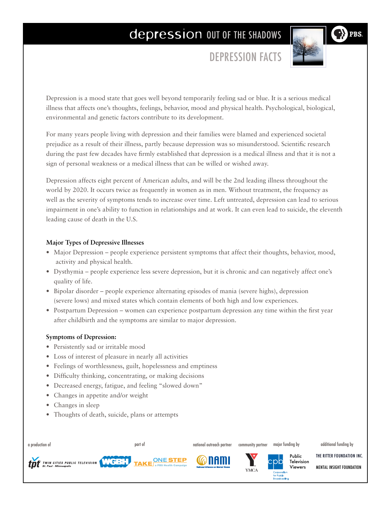# depression OUT OF THE SHADOWS

DEPRESSION FACTS

**PRS** 

Depression is a mood state that goes well beyond temporarily feeling sad or blue. It is a serious medical illness that affects one's thoughts, feelings, behavior, mood and physical health. Psychological, biological, environmental and genetic factors contribute to its development.

For many years people living with depression and their families were blamed and experienced societal prejudice as a result of their illness, partly because depression was so misunderstood. Scientific research during the past few decades have firmly established that depression is a medical illness and that it is not a sign of personal weakness or a medical illness that can be willed or wished away.

Depression affects eight percent of American adults, and will be the 2nd leading illness throughout the world by 2020. It occurs twice as frequently in women as in men. Without treatment, the frequency as well as the severity of symptoms tends to increase over time. Left untreated, depression can lead to serious impairment in one's ability to function in relationships and at work. It can even lead to suicide, the eleventh leading cause of death in the U.S.

### **Major Types of Depressive Illnesses**

- Major Depression people experience persistent symptoms that affect their thoughts, behavior, mood, activity and physical health.
- • Dysthymia people experience less severe depression, but it is chronic and can negatively affect one's quality of life.
- • Bipolar disorder people experience alternating episodes of mania (severe highs), depression (severe lows) and mixed states which contain elements of both high and low experiences.
- Postpartum Depression women can experience postpartum depression any time within the first year after childbirth and the symptoms are similar to major depression.

#### **Symptoms of Depression:**

- Persistently sad or irritable mood
- Loss of interest of pleasure in nearly all activities
- Feelings of worthlessness, guilt, hopelessness and emptiness
- • Difficulty thinking, concentrating, or making decisions
- Decreased energy, fatigue, and feeling "slowed down"
- Changes in appetite and/or weight
- Changes in sleep
- • Thoughts of death, suicide, plans or attempts

a production of national outreach partner major funding by additional funding by part of community partner



**TAKE RESTEP** 









MENTAL INSIGHT FOUNDATION